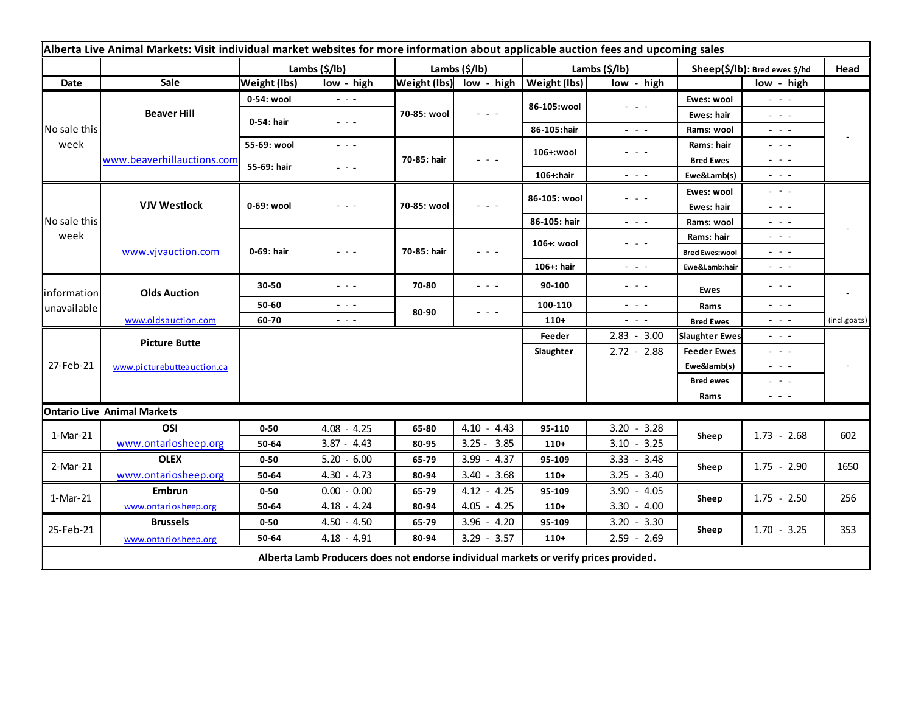| Alberta Live Animal Markets: Visit individual market websites for more information about applicable auction fees and upcoming sales |                                           |                          |                                                                                                                        |                            |                         |                       |                                                                                                                                                                                                                                                                                                                                                                                                                                                |                               |                                                                                                |              |
|-------------------------------------------------------------------------------------------------------------------------------------|-------------------------------------------|--------------------------|------------------------------------------------------------------------------------------------------------------------|----------------------------|-------------------------|-----------------------|------------------------------------------------------------------------------------------------------------------------------------------------------------------------------------------------------------------------------------------------------------------------------------------------------------------------------------------------------------------------------------------------------------------------------------------------|-------------------------------|------------------------------------------------------------------------------------------------|--------------|
|                                                                                                                                     |                                           | Lambs $(\frac{2}{3})$    |                                                                                                                        | Lambs (\$/lb)              |                         | Lambs $(\frac{2}{3})$ |                                                                                                                                                                                                                                                                                                                                                                                                                                                | Sheep(\$/lb): Bred ewes \$/hd |                                                                                                | Head         |
| Date                                                                                                                                | Sale                                      | <b>Weight (lbs)</b>      | low - high                                                                                                             |                            | Weight (lbs) low - high | <b>Weight (lbs)</b>   | low - high                                                                                                                                                                                                                                                                                                                                                                                                                                     |                               | low - high                                                                                     |              |
| No sale this<br>week                                                                                                                | <b>Beaver Hill</b>                        | 0-54: wool               | $  -$                                                                                                                  | 70-85: wool                | $  -$                   | 86-105:wool           | $  -$                                                                                                                                                                                                                                                                                                                                                                                                                                          | Ewes: wool                    | $\omega_{\rm c} \sim \omega_{\rm c}$                                                           |              |
|                                                                                                                                     |                                           | 0-54: hair               | $\frac{1}{2} \left( \frac{1}{2} \right) \frac{1}{2} \left( \frac{1}{2} \right) \frac{1}{2} \left( \frac{1}{2} \right)$ |                            |                         |                       |                                                                                                                                                                                                                                                                                                                                                                                                                                                | Ewes: hair                    | $  -$                                                                                          |              |
|                                                                                                                                     |                                           |                          |                                                                                                                        |                            |                         | 86-105:hair           | $  -$                                                                                                                                                                                                                                                                                                                                                                                                                                          | Rams: wool                    | - - -                                                                                          |              |
|                                                                                                                                     | www.beaverhillauctions.com                | 55-69: wool              | $\frac{1}{2} \left( \frac{1}{2} \right) \frac{1}{2} \left( \frac{1}{2} \right) \frac{1}{2} \left( \frac{1}{2} \right)$ | 70-85: hair                | - - -                   | 106+:wool             | $  -$                                                                                                                                                                                                                                                                                                                                                                                                                                          | Rams: hair                    | - - -                                                                                          |              |
|                                                                                                                                     |                                           | 55-69: hair              | - - -                                                                                                                  |                            |                         |                       |                                                                                                                                                                                                                                                                                                                                                                                                                                                | <b>Bred Ewes</b>              | $  -$                                                                                          |              |
|                                                                                                                                     |                                           |                          |                                                                                                                        |                            |                         | 106+:hair             | $\frac{1}{2} \left( \frac{1}{2} \right) \left( \frac{1}{2} \right) \left( \frac{1}{2} \right)$                                                                                                                                                                                                                                                                                                                                                 | Ewe&Lamb(s)                   | - - -                                                                                          |              |
| No sale this<br>week                                                                                                                | <b>VJV Westlock</b><br>www.vjvauction.com | 0-69: wool<br>0-69: hair | - - -<br>$  -$                                                                                                         | 70-85: wool<br>70-85: hair | $  -$<br>$  -$          | 86-105: wool          | $  -$                                                                                                                                                                                                                                                                                                                                                                                                                                          | Ewes: wool                    | $\sim$ $\sim$ $\sim$                                                                           |              |
|                                                                                                                                     |                                           |                          |                                                                                                                        |                            |                         |                       |                                                                                                                                                                                                                                                                                                                                                                                                                                                | Ewes: hair                    | $  -$                                                                                          |              |
|                                                                                                                                     |                                           |                          |                                                                                                                        |                            |                         | 86-105: hair          | $\frac{1}{2} \left( \frac{1}{2} \right) + \frac{1}{2} \left( \frac{1}{2} \right) + \frac{1}{2} \left( \frac{1}{2} \right) + \frac{1}{2} \left( \frac{1}{2} \right) + \frac{1}{2} \left( \frac{1}{2} \right) + \frac{1}{2} \left( \frac{1}{2} \right) + \frac{1}{2} \left( \frac{1}{2} \right) + \frac{1}{2} \left( \frac{1}{2} \right) + \frac{1}{2} \left( \frac{1}{2} \right) + \frac{1}{2} \left( \frac{1}{2} \right) + \frac{1}{2} \left($ | Rams: wool                    | - - -                                                                                          |              |
|                                                                                                                                     |                                           |                          |                                                                                                                        |                            |                         | 106+: wool            | $\frac{1}{2} \left( \frac{1}{2} \right) + \frac{1}{2} \left( \frac{1}{2} \right) + \frac{1}{2} \left( \frac{1}{2} \right) + \frac{1}{2} \left( \frac{1}{2} \right) + \frac{1}{2} \left( \frac{1}{2} \right) + \frac{1}{2} \left( \frac{1}{2} \right) + \frac{1}{2} \left( \frac{1}{2} \right) + \frac{1}{2} \left( \frac{1}{2} \right) + \frac{1}{2} \left( \frac{1}{2} \right) + \frac{1}{2} \left( \frac{1}{2} \right) + \frac{1}{2} \left($ | Rams: hair                    | $  -$                                                                                          |              |
|                                                                                                                                     |                                           |                          |                                                                                                                        |                            |                         |                       |                                                                                                                                                                                                                                                                                                                                                                                                                                                | <b>Bred Ewes:wool</b>         | $  -$                                                                                          |              |
| information<br>unavailable                                                                                                          | <b>Olds Auction</b>                       |                          |                                                                                                                        |                            |                         | 106+: hair            | $\frac{1}{2} \left( \frac{1}{2} \right) \left( \frac{1}{2} \right) \left( \frac{1}{2} \right)$                                                                                                                                                                                                                                                                                                                                                 | Ewe&Lamb:hair                 | - - -                                                                                          |              |
|                                                                                                                                     |                                           | 30-50                    | $- - -$                                                                                                                | 70-80                      | $  -$                   | 90-100                | $\frac{1}{2} \left( \frac{1}{2} \right) = \frac{1}{2} \left( \frac{1}{2} \right)$                                                                                                                                                                                                                                                                                                                                                              | Ewes                          | - - -                                                                                          |              |
|                                                                                                                                     |                                           | 50-60                    | $\frac{1}{2} \left( \frac{1}{2} \right) \frac{1}{2} \left( \frac{1}{2} \right) \frac{1}{2}$                            | 80-90                      | $  -$                   | 100-110               | $ -$                                                                                                                                                                                                                                                                                                                                                                                                                                           | Rams                          | $  -$                                                                                          |              |
|                                                                                                                                     | www.oldsauction.com                       | 60-70                    | $ -$                                                                                                                   |                            |                         | $110+$                | $ -$                                                                                                                                                                                                                                                                                                                                                                                                                                           | <b>Bred Ewes</b>              | $  -$                                                                                          | (incl.goats) |
| 27-Feb-21                                                                                                                           | <b>Picture Butte</b>                      |                          |                                                                                                                        |                            |                         | Feeder                | $2.83 - 3.00$                                                                                                                                                                                                                                                                                                                                                                                                                                  | <b>Slaughter Ewes</b>         | - - -                                                                                          |              |
|                                                                                                                                     | www.picturebutteauction.ca                |                          |                                                                                                                        |                            |                         | Slaughter             | $2.72 - 2.88$                                                                                                                                                                                                                                                                                                                                                                                                                                  | <b>Feeder Ewes</b>            | - - -                                                                                          |              |
|                                                                                                                                     |                                           |                          |                                                                                                                        |                            |                         |                       |                                                                                                                                                                                                                                                                                                                                                                                                                                                | Ewe&lamb(s)                   | $  -$                                                                                          |              |
|                                                                                                                                     |                                           |                          |                                                                                                                        |                            |                         |                       |                                                                                                                                                                                                                                                                                                                                                                                                                                                | <b>Bred ewes</b>              | - - -                                                                                          |              |
|                                                                                                                                     |                                           |                          |                                                                                                                        |                            |                         |                       |                                                                                                                                                                                                                                                                                                                                                                                                                                                | Rams                          | $\frac{1}{2} \left( \frac{1}{2} \right) \left( \frac{1}{2} \right) \left( \frac{1}{2} \right)$ |              |
| <b>Ontario Live Animal Markets</b>                                                                                                  |                                           |                          |                                                                                                                        |                            |                         |                       |                                                                                                                                                                                                                                                                                                                                                                                                                                                |                               |                                                                                                |              |
| 1-Mar-21                                                                                                                            | OSI                                       | $0 - 50$                 | $4.08 - 4.25$                                                                                                          | 65-80                      | $4.10 - 4.43$           | 95-110                | $3.20 - 3.28$                                                                                                                                                                                                                                                                                                                                                                                                                                  | Sheep                         | $1.73 - 2.68$                                                                                  | 602          |
|                                                                                                                                     | www.ontariosheep.org                      | 50-64                    | $3.87 - 4.43$                                                                                                          | 80-95                      | $3.25 - 3.85$           | $110+$                | $3.10 - 3.25$                                                                                                                                                                                                                                                                                                                                                                                                                                  |                               |                                                                                                |              |
| 2-Mar-21                                                                                                                            | <b>OLEX</b>                               | $0 - 50$                 | $5.20 - 6.00$                                                                                                          | 65-79                      | $3.99 - 4.37$           | 95-109                | $3.33 - 3.48$                                                                                                                                                                                                                                                                                                                                                                                                                                  | Sheep                         | $1.75 - 2.90$                                                                                  | 1650         |
|                                                                                                                                     | www.ontariosheep.org                      | 50-64                    | $4.30 - 4.73$                                                                                                          | 80-94                      | $3.40 - 3.68$           | $110+$                | $3.25 - 3.40$                                                                                                                                                                                                                                                                                                                                                                                                                                  |                               |                                                                                                |              |
| 1-Mar-21                                                                                                                            | <b>Embrun</b>                             | $0 - 50$                 | $0.00 - 0.00$                                                                                                          | 65-79                      | $4.12 - 4.25$           | 95-109                | $3.90 - 4.05$                                                                                                                                                                                                                                                                                                                                                                                                                                  | Sheep                         | $1.75 - 2.50$                                                                                  | 256          |
|                                                                                                                                     | www.ontariosheep.org                      | 50-64                    | $4.18 - 4.24$                                                                                                          | 80-94                      | $4.05 - 4.25$           | $110+$                | $3.30 - 4.00$                                                                                                                                                                                                                                                                                                                                                                                                                                  |                               |                                                                                                |              |
| 25-Feb-21                                                                                                                           | <b>Brussels</b>                           | $0 - 50$                 | $4.50 - 4.50$                                                                                                          | 65-79                      | $3.96 - 4.20$           | 95-109                | $3.20 - 3.30$                                                                                                                                                                                                                                                                                                                                                                                                                                  | Sheep                         | $1.70 - 3.25$                                                                                  | 353          |
|                                                                                                                                     | www.ontariosheep.org                      | 50-64                    | $4.18 - 4.91$                                                                                                          | 80-94                      | $3.29 - 3.57$           | $110+$                | $2.59 - 2.69$                                                                                                                                                                                                                                                                                                                                                                                                                                  |                               |                                                                                                |              |
| Alberta Lamb Producers does not endorse individual markets or verify prices provided.                                               |                                           |                          |                                                                                                                        |                            |                         |                       |                                                                                                                                                                                                                                                                                                                                                                                                                                                |                               |                                                                                                |              |